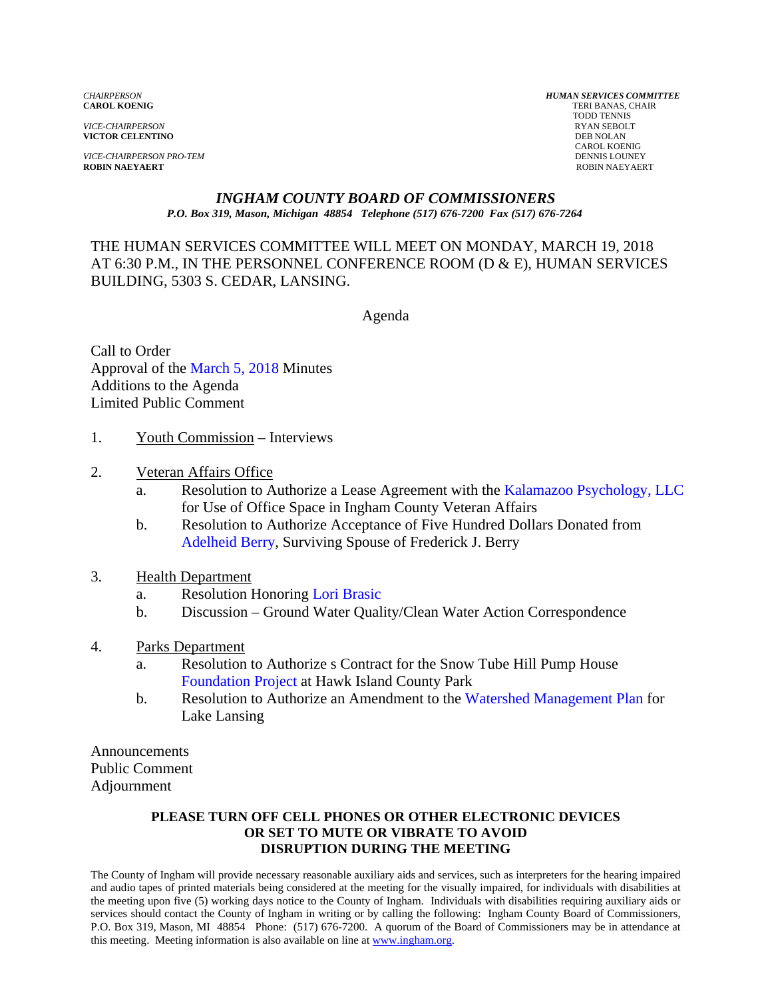*VICE-CHAIRPERSON* RYAN SEBOLT **VICTOR CELENTINO** 

**VICE-CHAIRPERSON PRO-TEM** DENNIS LOUNEY DENNIS LOUNEY DENNIS LOUNEY DENNIS LOUNEY DENNIS LOUNEY PROBIN NAEYAERT **ROBIN NAEYAERT** ROBIN NAEYAERT

*CHAIRPERSON HUMAN SERVICES COMMITTEE* **TERI BANAS, CHAIR**  TODD TENNIS CAROL KOENIG

#### *INGHAM COUNTY BOARD OF COMMISSIONERS P.O. Box 319, Mason, Michigan 48854 Telephone (517) 676-7200 Fax (517) 676-7264*

THE HUMAN SERVICES COMMITTEE WILL MEET ON MONDAY, MARCH 19, 2018 AT 6:30 P.M., IN THE PERSONNEL CONFERENCE ROOM (D & E), HUMAN SERVICES BUILDING, 5303 S. CEDAR, LANSING.

Agenda

Call to Order Approval [of the March 5, 2018 Minutes](#page-1-0)  Additions to the Agenda Limited Public Comment

- 1. Youth Commission Interviews
- 2. Veteran Affairs Office
	- a. Resolution to Authorize a Lease Agreement wit[h the Kalamazoo Psychology, LLC](#page-18-0) for Use of Office Space in Ingham County Veteran Affairs
	- b. Resolution to Authorize Acceptance of Five Hundred Dollars Donated from [Adelheid Berry, Surviving](#page-20-0) Spouse of Frederick J. Berry
- 3. Health Department
	- a. Resolution Honoring Lori Brasic
	- b. Discussion Gro[und Water Quality/Clean Water Ac](#page-22-0)tion Correspondence
- 4. Parks Department
	- a. [Resolution to Authorize](#page-23-0) s Contract for the Snow Tube Hill Pump House Foundation Project at Hawk Island County Park
	- b. Resolution to Authorize an Amendment [to the Watershed Management Plan for](#page-25-0) Lake Lansing

Announcements Public Comment Adjournment

#### **PLEASE TURN OFF CELL PHONES OR OTHER ELECTRONIC DEVICES OR SET TO MUTE OR VIBRATE TO AVOID DISRUPTION DURING THE MEETING**

The County of Ingham will provide necessary reasonable auxiliary aids and services, such as interpreters for the hearing impaired and audio tapes of printed materials being considered at the meeting for the visually impaired, for individuals with disabilities at the meeting upon five (5) working days notice to the County of Ingham. Individuals with disabilities requiring auxiliary aids or services should contact the County of Ingham in writing or by calling the following: Ingham County Board of Commissioners, P.O. Box 319, Mason, MI 48854 Phone: (517) 676-7200. A quorum of the Board of Commissioners may be in attendance at this meeting. Meeting information is also available on line at www.ingham.org.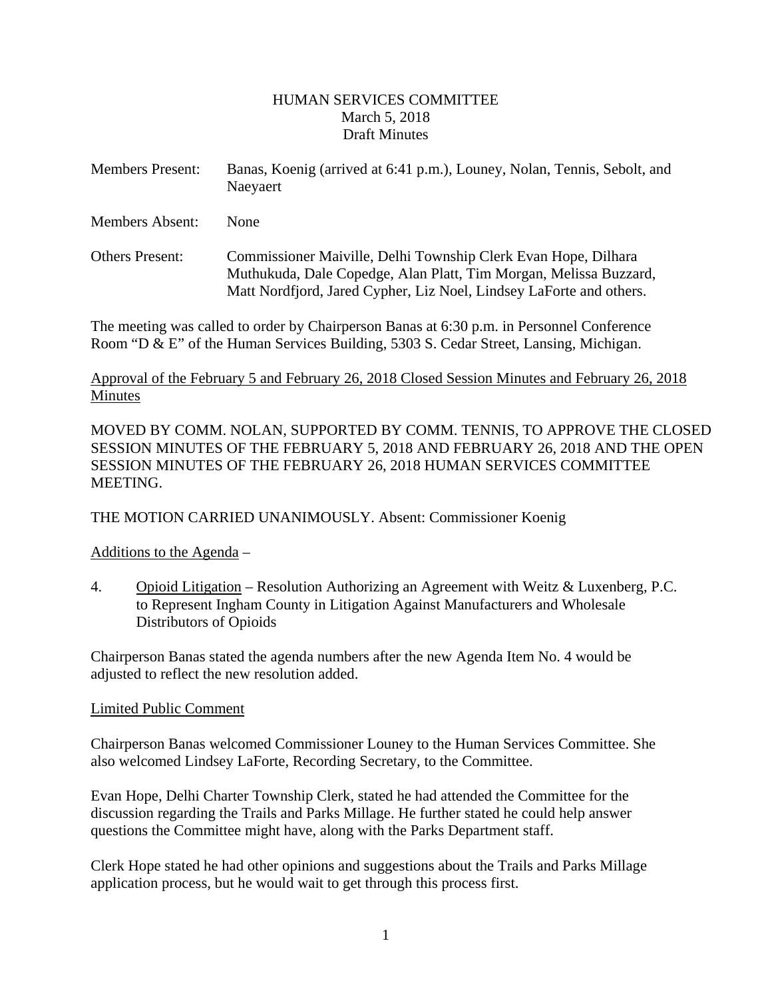### HUMAN SERVICES COMMITTEE March 5, 2018 Draft Minutes

<span id="page-1-0"></span>

| <b>Members Present:</b> | Banas, Koenig (arrived at 6:41 p.m.), Louney, Nolan, Tennis, Sebolt, and<br>Naevaert |
|-------------------------|--------------------------------------------------------------------------------------|
|                         |                                                                                      |

Members Absent: None

Others Present: Commissioner Maiville, Delhi Township Clerk Evan Hope, Dilhara Muthukuda, Dale Copedge, Alan Platt, Tim Morgan, Melissa Buzzard, Matt Nordfjord, Jared Cypher, Liz Noel, Lindsey LaForte and others.

The meeting was called to order by Chairperson Banas at 6:30 p.m. in Personnel Conference Room "D & E" of the Human Services Building, 5303 S. Cedar Street, Lansing, Michigan.

### Approval of the February 5 and February 26, 2018 Closed Session Minutes and February 26, 2018 Minutes

MOVED BY COMM. NOLAN, SUPPORTED BY COMM. TENNIS, TO APPROVE THE CLOSED SESSION MINUTES OF THE FEBRUARY 5, 2018 AND FEBRUARY 26, 2018 AND THE OPEN SESSION MINUTES OF THE FEBRUARY 26, 2018 HUMAN SERVICES COMMITTEE MEETING.

THE MOTION CARRIED UNANIMOUSLY. Absent: Commissioner Koenig

Additions to the Agenda –

4. Opioid Litigation – Resolution Authorizing an Agreement with Weitz & Luxenberg, P.C. to Represent Ingham County in Litigation Against Manufacturers and Wholesale Distributors of Opioids

Chairperson Banas stated the agenda numbers after the new Agenda Item No. 4 would be adjusted to reflect the new resolution added.

### Limited Public Comment

Chairperson Banas welcomed Commissioner Louney to the Human Services Committee. She also welcomed Lindsey LaForte, Recording Secretary, to the Committee.

Evan Hope, Delhi Charter Township Clerk, stated he had attended the Committee for the discussion regarding the Trails and Parks Millage. He further stated he could help answer questions the Committee might have, along with the Parks Department staff.

Clerk Hope stated he had other opinions and suggestions about the Trails and Parks Millage application process, but he would wait to get through this process first.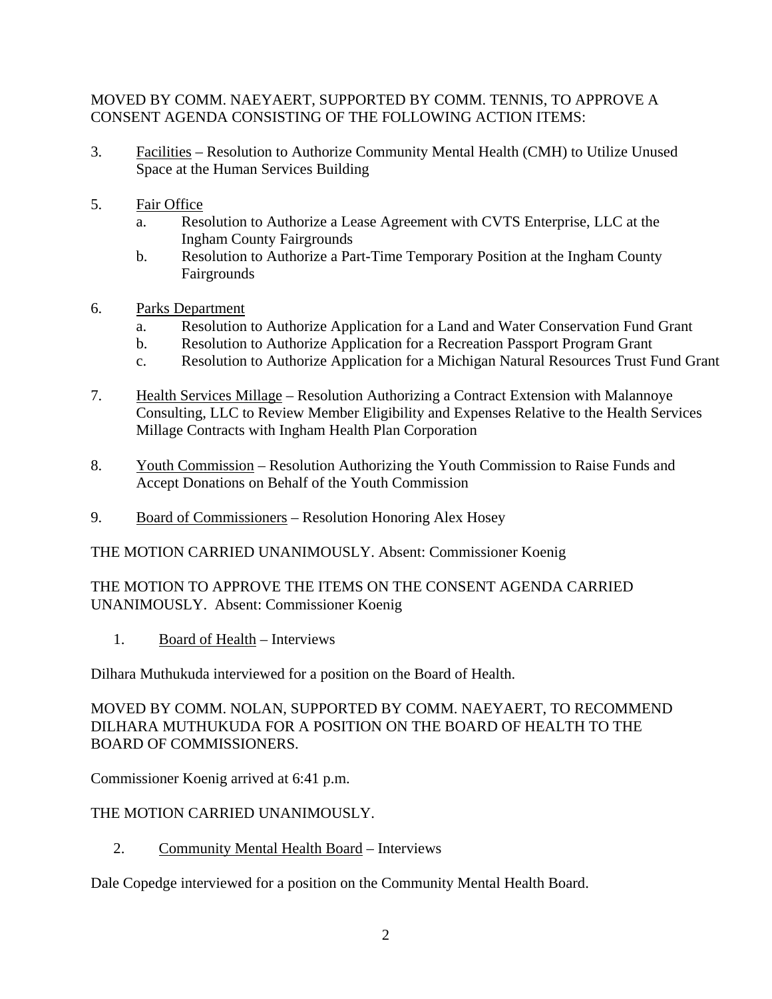### MOVED BY COMM. NAEYAERT, SUPPORTED BY COMM. TENNIS, TO APPROVE A CONSENT AGENDA CONSISTING OF THE FOLLOWING ACTION ITEMS:

- 3. Facilities Resolution to Authorize Community Mental Health (CMH) to Utilize Unused Space at the Human Services Building
- 5. Fair Office
	- a. Resolution to Authorize a Lease Agreement with CVTS Enterprise, LLC at the Ingham County Fairgrounds
	- b. Resolution to Authorize a Part-Time Temporary Position at the Ingham County Fairgrounds
- 6. Parks Department
	- a. Resolution to Authorize Application for a Land and Water Conservation Fund Grant
	- b. Resolution to Authorize Application for a Recreation Passport Program Grant
	- c. Resolution to Authorize Application for a Michigan Natural Resources Trust Fund Grant
- 7. Health Services Millage Resolution Authorizing a Contract Extension with Malannoye Consulting, LLC to Review Member Eligibility and Expenses Relative to the Health Services Millage Contracts with Ingham Health Plan Corporation
- 8. Youth Commission Resolution Authorizing the Youth Commission to Raise Funds and Accept Donations on Behalf of the Youth Commission
- 9. Board of Commissioners Resolution Honoring Alex Hosey

THE MOTION CARRIED UNANIMOUSLY. Absent: Commissioner Koenig

### THE MOTION TO APPROVE THE ITEMS ON THE CONSENT AGENDA CARRIED UNANIMOUSLY. Absent: Commissioner Koenig

1. Board of Health – Interviews

Dilhara Muthukuda interviewed for a position on the Board of Health.

MOVED BY COMM. NOLAN, SUPPORTED BY COMM. NAEYAERT, TO RECOMMEND DILHARA MUTHUKUDA FOR A POSITION ON THE BOARD OF HEALTH TO THE BOARD OF COMMISSIONERS.

Commissioner Koenig arrived at 6:41 p.m.

# THE MOTION CARRIED UNANIMOUSLY.

2. Community Mental Health Board – Interviews

Dale Copedge interviewed for a position on the Community Mental Health Board.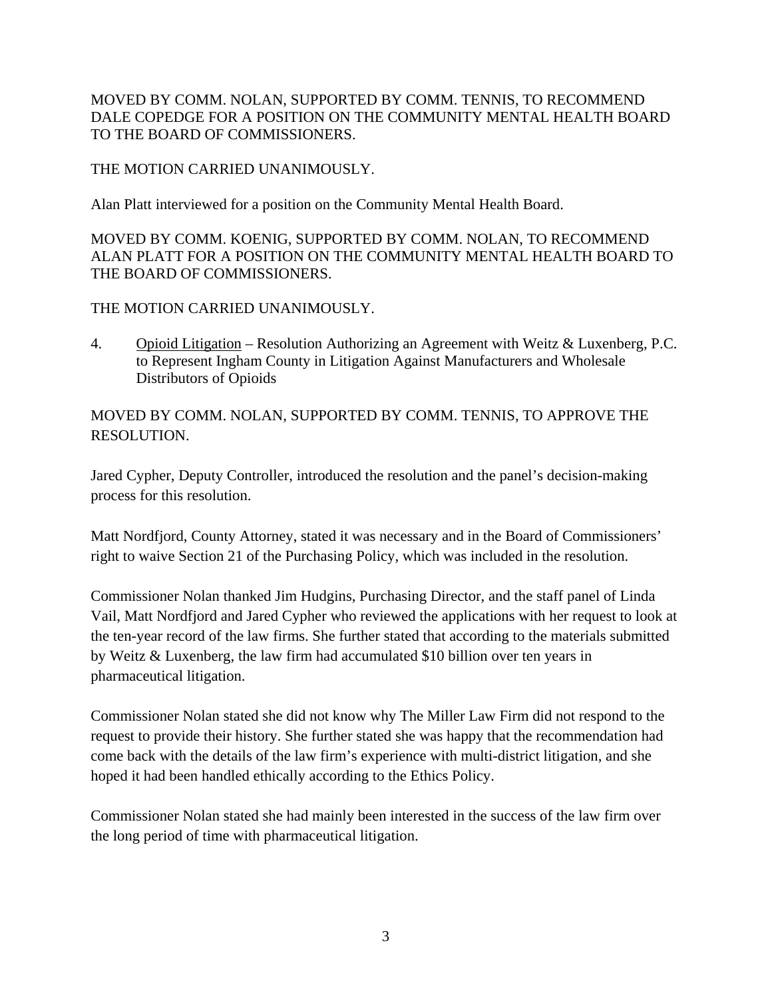MOVED BY COMM. NOLAN, SUPPORTED BY COMM. TENNIS, TO RECOMMEND DALE COPEDGE FOR A POSITION ON THE COMMUNITY MENTAL HEALTH BOARD TO THE BOARD OF COMMISSIONERS.

### THE MOTION CARRIED UNANIMOUSLY.

Alan Platt interviewed for a position on the Community Mental Health Board.

MOVED BY COMM. KOENIG, SUPPORTED BY COMM. NOLAN, TO RECOMMEND ALAN PLATT FOR A POSITION ON THE COMMUNITY MENTAL HEALTH BOARD TO THE BOARD OF COMMISSIONERS.

# THE MOTION CARRIED UNANIMOUSLY.

4. Opioid Litigation – Resolution Authorizing an Agreement with Weitz & Luxenberg, P.C. to Represent Ingham County in Litigation Against Manufacturers and Wholesale Distributors of Opioids

MOVED BY COMM. NOLAN, SUPPORTED BY COMM. TENNIS, TO APPROVE THE RESOLUTION.

Jared Cypher, Deputy Controller, introduced the resolution and the panel's decision-making process for this resolution.

Matt Nordfjord, County Attorney, stated it was necessary and in the Board of Commissioners' right to waive Section 21 of the Purchasing Policy, which was included in the resolution.

Commissioner Nolan thanked Jim Hudgins, Purchasing Director, and the staff panel of Linda Vail, Matt Nordfjord and Jared Cypher who reviewed the applications with her request to look at the ten-year record of the law firms. She further stated that according to the materials submitted by Weitz & Luxenberg, the law firm had accumulated \$10 billion over ten years in pharmaceutical litigation.

Commissioner Nolan stated she did not know why The Miller Law Firm did not respond to the request to provide their history. She further stated she was happy that the recommendation had come back with the details of the law firm's experience with multi-district litigation, and she hoped it had been handled ethically according to the Ethics Policy.

Commissioner Nolan stated she had mainly been interested in the success of the law firm over the long period of time with pharmaceutical litigation.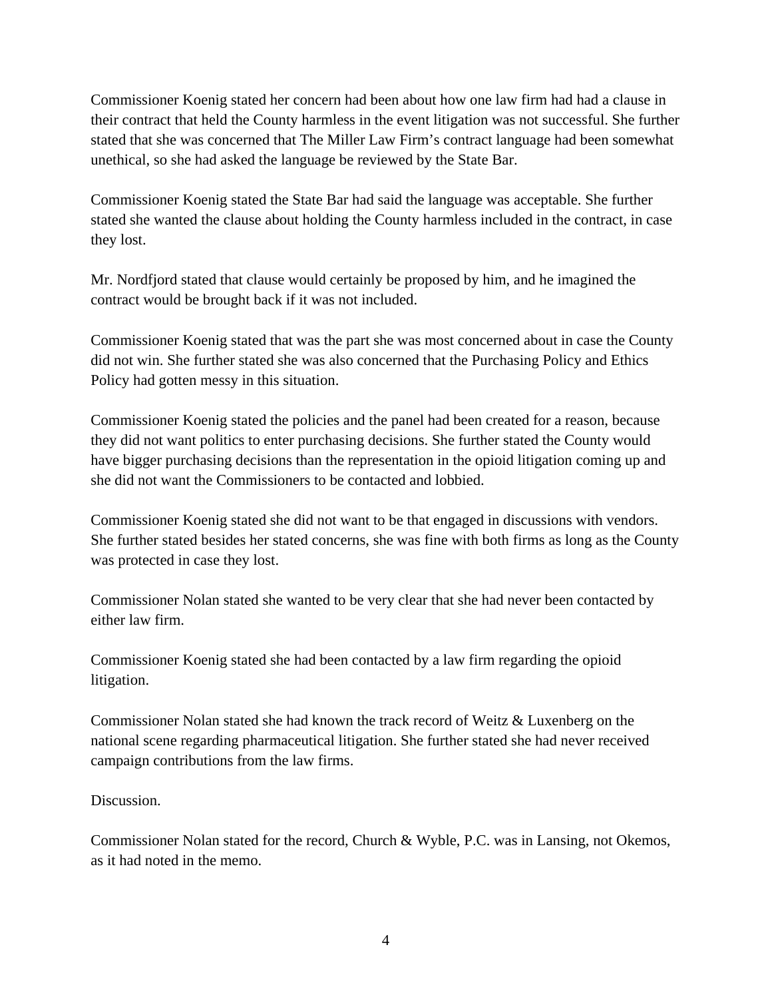Commissioner Koenig stated her concern had been about how one law firm had had a clause in their contract that held the County harmless in the event litigation was not successful. She further stated that she was concerned that The Miller Law Firm's contract language had been somewhat unethical, so she had asked the language be reviewed by the State Bar.

Commissioner Koenig stated the State Bar had said the language was acceptable. She further stated she wanted the clause about holding the County harmless included in the contract, in case they lost.

Mr. Nordfjord stated that clause would certainly be proposed by him, and he imagined the contract would be brought back if it was not included.

Commissioner Koenig stated that was the part she was most concerned about in case the County did not win. She further stated she was also concerned that the Purchasing Policy and Ethics Policy had gotten messy in this situation.

Commissioner Koenig stated the policies and the panel had been created for a reason, because they did not want politics to enter purchasing decisions. She further stated the County would have bigger purchasing decisions than the representation in the opioid litigation coming up and she did not want the Commissioners to be contacted and lobbied.

Commissioner Koenig stated she did not want to be that engaged in discussions with vendors. She further stated besides her stated concerns, she was fine with both firms as long as the County was protected in case they lost.

Commissioner Nolan stated she wanted to be very clear that she had never been contacted by either law firm.

Commissioner Koenig stated she had been contacted by a law firm regarding the opioid litigation.

Commissioner Nolan stated she had known the track record of Weitz & Luxenberg on the national scene regarding pharmaceutical litigation. She further stated she had never received campaign contributions from the law firms.

Discussion.

Commissioner Nolan stated for the record, Church & Wyble, P.C. was in Lansing, not Okemos, as it had noted in the memo.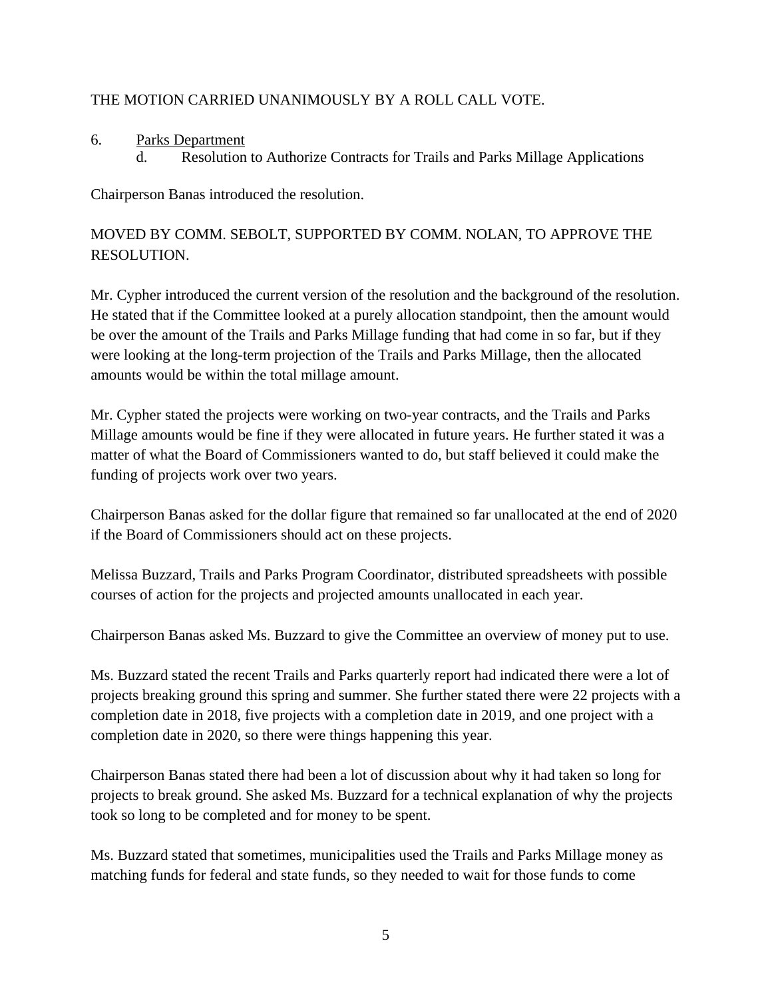### THE MOTION CARRIED UNANIMOUSLY BY A ROLL CALL VOTE.

- 6. Parks Department
	- d. Resolution to Authorize Contracts for Trails and Parks Millage Applications

Chairperson Banas introduced the resolution.

# MOVED BY COMM. SEBOLT, SUPPORTED BY COMM. NOLAN, TO APPROVE THE RESOLUTION.

Mr. Cypher introduced the current version of the resolution and the background of the resolution. He stated that if the Committee looked at a purely allocation standpoint, then the amount would be over the amount of the Trails and Parks Millage funding that had come in so far, but if they were looking at the long-term projection of the Trails and Parks Millage, then the allocated amounts would be within the total millage amount.

Mr. Cypher stated the projects were working on two-year contracts, and the Trails and Parks Millage amounts would be fine if they were allocated in future years. He further stated it was a matter of what the Board of Commissioners wanted to do, but staff believed it could make the funding of projects work over two years.

Chairperson Banas asked for the dollar figure that remained so far unallocated at the end of 2020 if the Board of Commissioners should act on these projects.

Melissa Buzzard, Trails and Parks Program Coordinator, distributed spreadsheets with possible courses of action for the projects and projected amounts unallocated in each year.

Chairperson Banas asked Ms. Buzzard to give the Committee an overview of money put to use.

Ms. Buzzard stated the recent Trails and Parks quarterly report had indicated there were a lot of projects breaking ground this spring and summer. She further stated there were 22 projects with a completion date in 2018, five projects with a completion date in 2019, and one project with a completion date in 2020, so there were things happening this year.

Chairperson Banas stated there had been a lot of discussion about why it had taken so long for projects to break ground. She asked Ms. Buzzard for a technical explanation of why the projects took so long to be completed and for money to be spent.

Ms. Buzzard stated that sometimes, municipalities used the Trails and Parks Millage money as matching funds for federal and state funds, so they needed to wait for those funds to come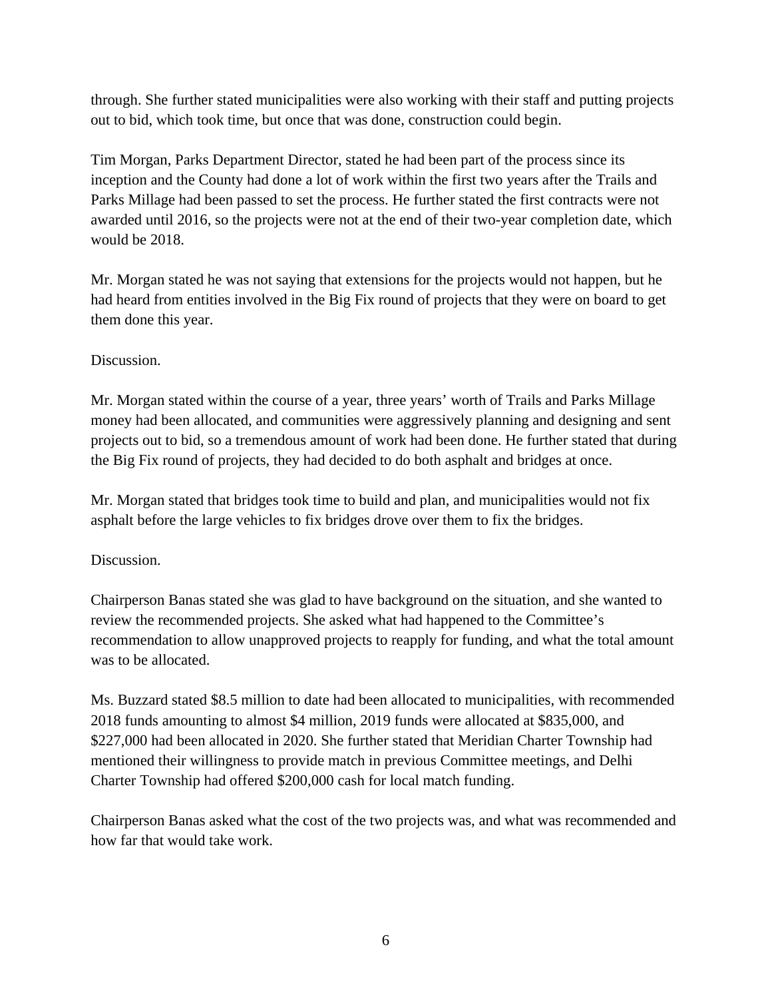through. She further stated municipalities were also working with their staff and putting projects out to bid, which took time, but once that was done, construction could begin.

Tim Morgan, Parks Department Director, stated he had been part of the process since its inception and the County had done a lot of work within the first two years after the Trails and Parks Millage had been passed to set the process. He further stated the first contracts were not awarded until 2016, so the projects were not at the end of their two-year completion date, which would be 2018.

Mr. Morgan stated he was not saying that extensions for the projects would not happen, but he had heard from entities involved in the Big Fix round of projects that they were on board to get them done this year.

### Discussion.

Mr. Morgan stated within the course of a year, three years' worth of Trails and Parks Millage money had been allocated, and communities were aggressively planning and designing and sent projects out to bid, so a tremendous amount of work had been done. He further stated that during the Big Fix round of projects, they had decided to do both asphalt and bridges at once.

Mr. Morgan stated that bridges took time to build and plan, and municipalities would not fix asphalt before the large vehicles to fix bridges drove over them to fix the bridges.

# Discussion.

Chairperson Banas stated she was glad to have background on the situation, and she wanted to review the recommended projects. She asked what had happened to the Committee's recommendation to allow unapproved projects to reapply for funding, and what the total amount was to be allocated.

Ms. Buzzard stated \$8.5 million to date had been allocated to municipalities, with recommended 2018 funds amounting to almost \$4 million, 2019 funds were allocated at \$835,000, and \$227,000 had been allocated in 2020. She further stated that Meridian Charter Township had mentioned their willingness to provide match in previous Committee meetings, and Delhi Charter Township had offered \$200,000 cash for local match funding.

Chairperson Banas asked what the cost of the two projects was, and what was recommended and how far that would take work.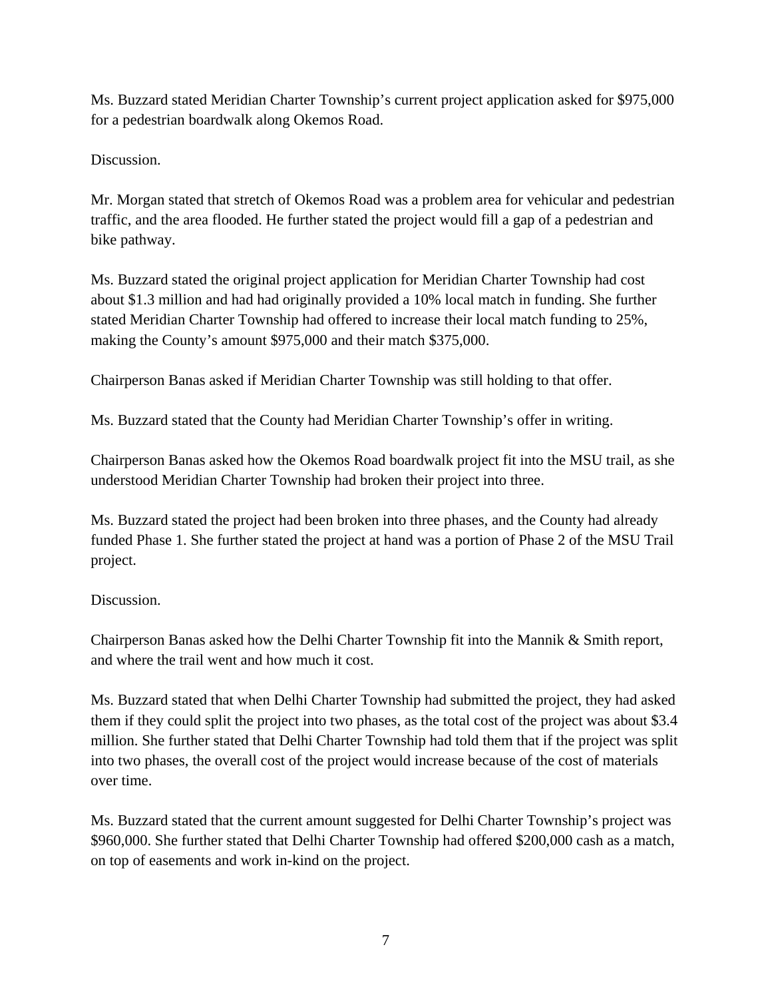Ms. Buzzard stated Meridian Charter Township's current project application asked for \$975,000 for a pedestrian boardwalk along Okemos Road.

Discussion.

Mr. Morgan stated that stretch of Okemos Road was a problem area for vehicular and pedestrian traffic, and the area flooded. He further stated the project would fill a gap of a pedestrian and bike pathway.

Ms. Buzzard stated the original project application for Meridian Charter Township had cost about \$1.3 million and had had originally provided a 10% local match in funding. She further stated Meridian Charter Township had offered to increase their local match funding to 25%, making the County's amount \$975,000 and their match \$375,000.

Chairperson Banas asked if Meridian Charter Township was still holding to that offer.

Ms. Buzzard stated that the County had Meridian Charter Township's offer in writing.

Chairperson Banas asked how the Okemos Road boardwalk project fit into the MSU trail, as she understood Meridian Charter Township had broken their project into three.

Ms. Buzzard stated the project had been broken into three phases, and the County had already funded Phase 1. She further stated the project at hand was a portion of Phase 2 of the MSU Trail project.

# **Discussion**

Chairperson Banas asked how the Delhi Charter Township fit into the Mannik & Smith report, and where the trail went and how much it cost.

Ms. Buzzard stated that when Delhi Charter Township had submitted the project, they had asked them if they could split the project into two phases, as the total cost of the project was about \$3.4 million. She further stated that Delhi Charter Township had told them that if the project was split into two phases, the overall cost of the project would increase because of the cost of materials over time.

Ms. Buzzard stated that the current amount suggested for Delhi Charter Township's project was \$960,000. She further stated that Delhi Charter Township had offered \$200,000 cash as a match, on top of easements and work in-kind on the project.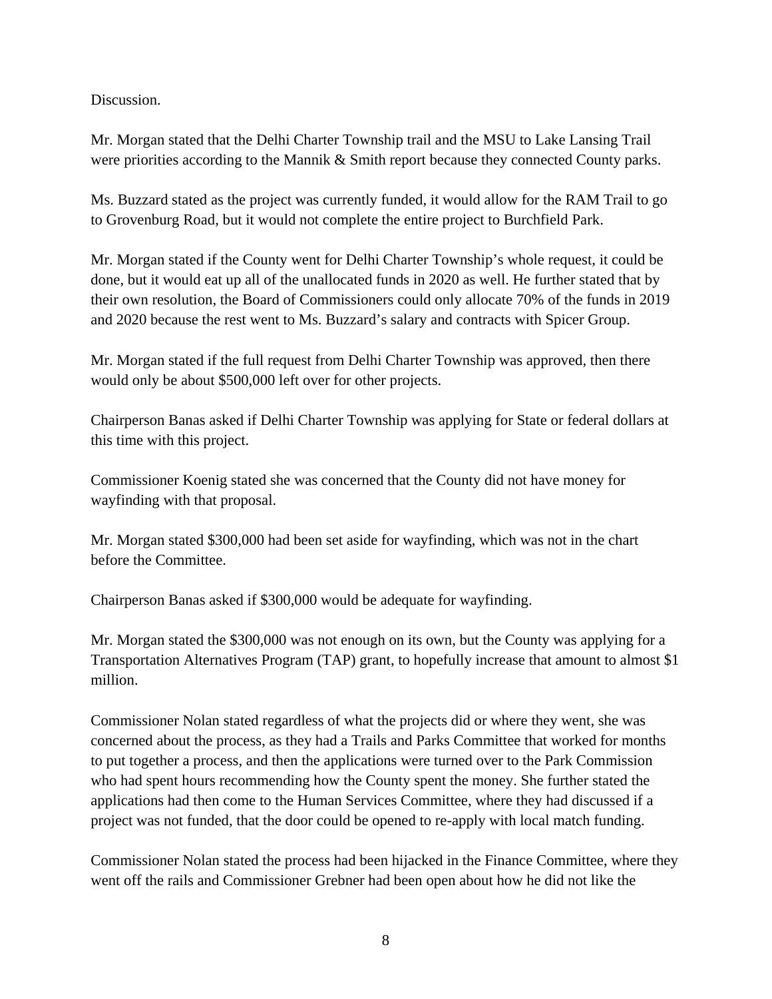Discussion.

Mr. Morgan stated that the Delhi Charter Township trail and the MSU to Lake Lansing Trail were priorities according to the Mannik & Smith report because they connected County parks.

Ms. Buzzard stated as the project was currently funded, it would allow for the RAM Trail to go to Grovenburg Road, but it would not complete the entire project to Burchfield Park.

Mr. Morgan stated if the County went for Delhi Charter Township's whole request, it could be done, but it would eat up all of the unallocated funds in 2020 as well. He further stated that by their own resolution, the Board of Commissioners could only allocate 70% of the funds in 2019 and 2020 because the rest went to Ms. Buzzard's salary and contracts with Spicer Group.

Mr. Morgan stated if the full request from Delhi Charter Township was approved, then there would only be about \$500,000 left over for other projects.

Chairperson Banas asked if Delhi Charter Township was applying for State or federal dollars at this time with this project.

Commissioner Koenig stated she was concerned that the County did not have money for wayfinding with that proposal.

Mr. Morgan stated \$300,000 had been set aside for wayfinding, which was not in the chart before the Committee.

Chairperson Banas asked if \$300,000 would be adequate for wayfinding.

Mr. Morgan stated the \$300,000 was not enough on its own, but the County was applying for a Transportation Alternatives Program (TAP) grant, to hopefully increase that amount to almost \$1 million.

Commissioner Nolan stated regardless of what the projects did or where they went, she was concerned about the process, as they had a Trails and Parks Committee that worked for months to put together a process, and then the applications were turned over to the Park Commission who had spent hours recommending how the County spent the money. She further stated the applications had then come to the Human Services Committee, where they had discussed if a project was not funded, that the door could be opened to re-apply with local match funding.

Commissioner Nolan stated the process had been hijacked in the Finance Committee, where they went off the rails and Commissioner Grebner had been open about how he did not like the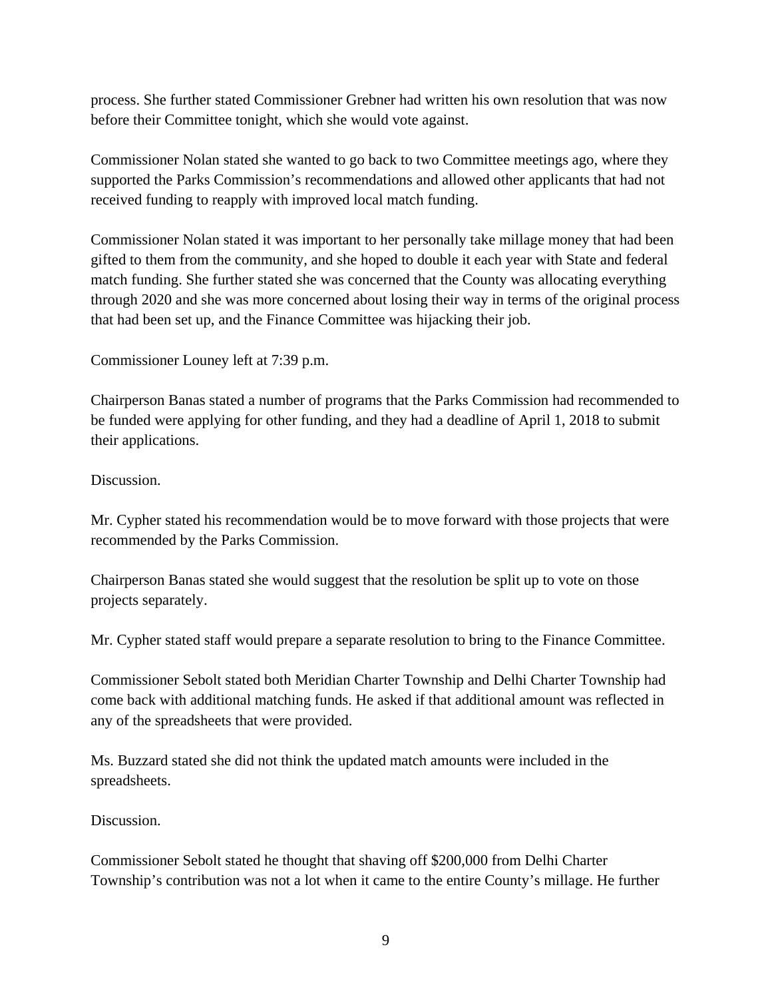process. She further stated Commissioner Grebner had written his own resolution that was now before their Committee tonight, which she would vote against.

Commissioner Nolan stated she wanted to go back to two Committee meetings ago, where they supported the Parks Commission's recommendations and allowed other applicants that had not received funding to reapply with improved local match funding.

Commissioner Nolan stated it was important to her personally take millage money that had been gifted to them from the community, and she hoped to double it each year with State and federal match funding. She further stated she was concerned that the County was allocating everything through 2020 and she was more concerned about losing their way in terms of the original process that had been set up, and the Finance Committee was hijacking their job.

Commissioner Louney left at 7:39 p.m.

Chairperson Banas stated a number of programs that the Parks Commission had recommended to be funded were applying for other funding, and they had a deadline of April 1, 2018 to submit their applications.

Discussion.

Mr. Cypher stated his recommendation would be to move forward with those projects that were recommended by the Parks Commission.

Chairperson Banas stated she would suggest that the resolution be split up to vote on those projects separately.

Mr. Cypher stated staff would prepare a separate resolution to bring to the Finance Committee.

Commissioner Sebolt stated both Meridian Charter Township and Delhi Charter Township had come back with additional matching funds. He asked if that additional amount was reflected in any of the spreadsheets that were provided.

Ms. Buzzard stated she did not think the updated match amounts were included in the spreadsheets.

Discussion.

Commissioner Sebolt stated he thought that shaving off \$200,000 from Delhi Charter Township's contribution was not a lot when it came to the entire County's millage. He further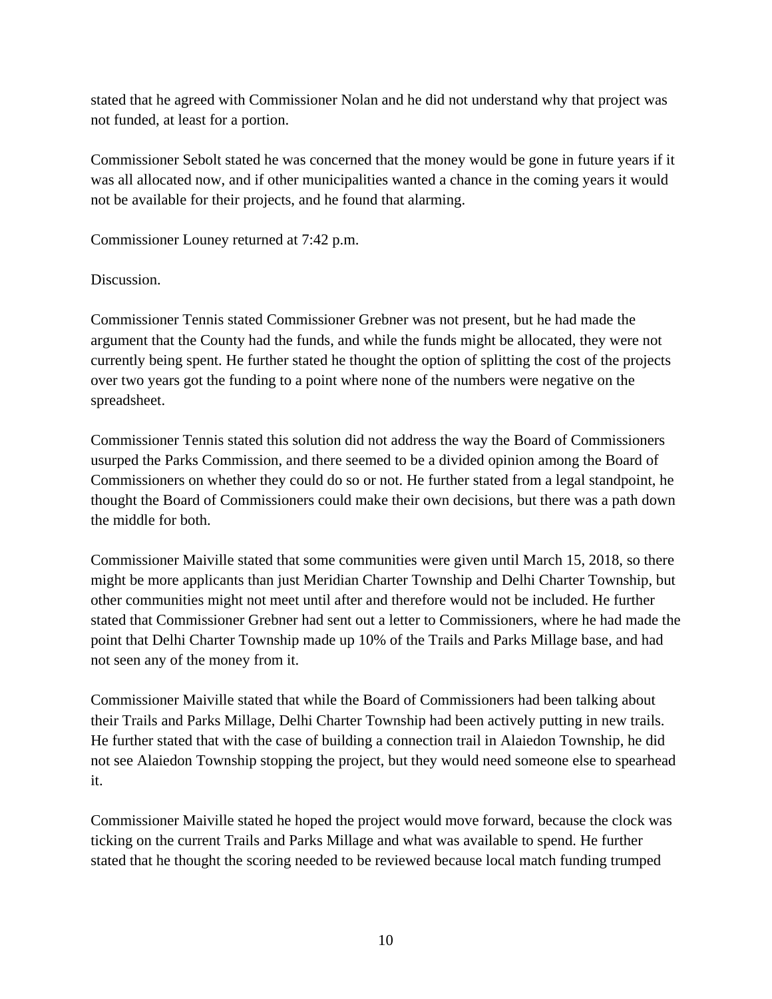stated that he agreed with Commissioner Nolan and he did not understand why that project was not funded, at least for a portion.

Commissioner Sebolt stated he was concerned that the money would be gone in future years if it was all allocated now, and if other municipalities wanted a chance in the coming years it would not be available for their projects, and he found that alarming.

Commissioner Louney returned at 7:42 p.m.

Discussion.

Commissioner Tennis stated Commissioner Grebner was not present, but he had made the argument that the County had the funds, and while the funds might be allocated, they were not currently being spent. He further stated he thought the option of splitting the cost of the projects over two years got the funding to a point where none of the numbers were negative on the spreadsheet.

Commissioner Tennis stated this solution did not address the way the Board of Commissioners usurped the Parks Commission, and there seemed to be a divided opinion among the Board of Commissioners on whether they could do so or not. He further stated from a legal standpoint, he thought the Board of Commissioners could make their own decisions, but there was a path down the middle for both.

Commissioner Maiville stated that some communities were given until March 15, 2018, so there might be more applicants than just Meridian Charter Township and Delhi Charter Township, but other communities might not meet until after and therefore would not be included. He further stated that Commissioner Grebner had sent out a letter to Commissioners, where he had made the point that Delhi Charter Township made up 10% of the Trails and Parks Millage base, and had not seen any of the money from it.

Commissioner Maiville stated that while the Board of Commissioners had been talking about their Trails and Parks Millage, Delhi Charter Township had been actively putting in new trails. He further stated that with the case of building a connection trail in Alaiedon Township, he did not see Alaiedon Township stopping the project, but they would need someone else to spearhead it.

Commissioner Maiville stated he hoped the project would move forward, because the clock was ticking on the current Trails and Parks Millage and what was available to spend. He further stated that he thought the scoring needed to be reviewed because local match funding trumped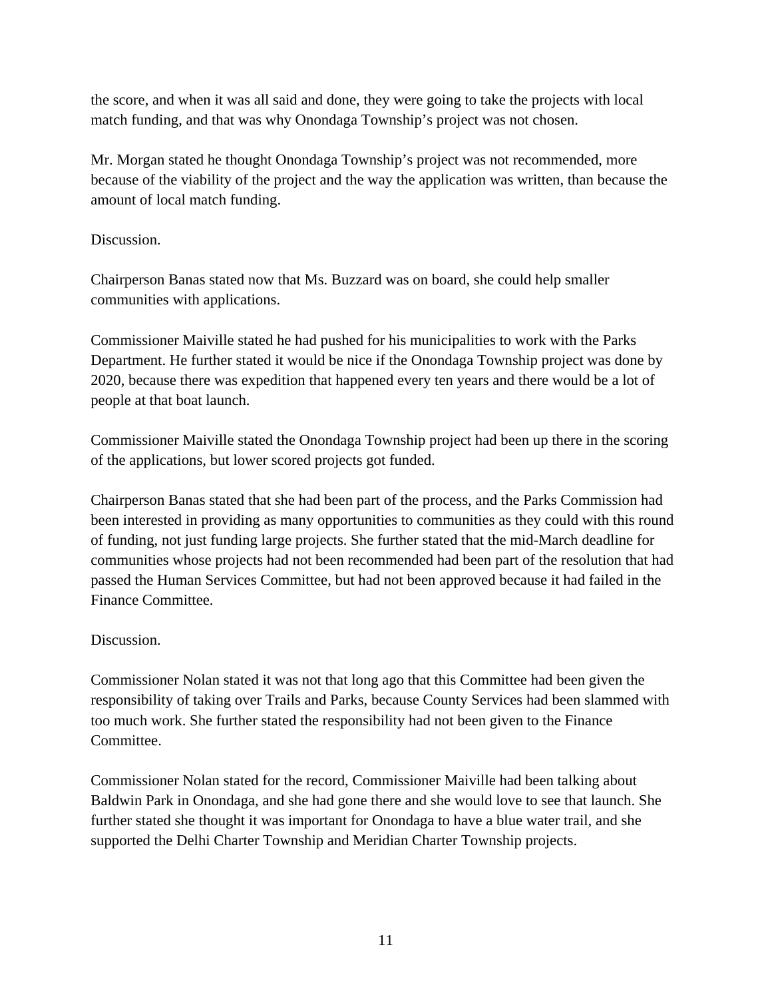the score, and when it was all said and done, they were going to take the projects with local match funding, and that was why Onondaga Township's project was not chosen.

Mr. Morgan stated he thought Onondaga Township's project was not recommended, more because of the viability of the project and the way the application was written, than because the amount of local match funding.

### Discussion.

Chairperson Banas stated now that Ms. Buzzard was on board, she could help smaller communities with applications.

Commissioner Maiville stated he had pushed for his municipalities to work with the Parks Department. He further stated it would be nice if the Onondaga Township project was done by 2020, because there was expedition that happened every ten years and there would be a lot of people at that boat launch.

Commissioner Maiville stated the Onondaga Township project had been up there in the scoring of the applications, but lower scored projects got funded.

Chairperson Banas stated that she had been part of the process, and the Parks Commission had been interested in providing as many opportunities to communities as they could with this round of funding, not just funding large projects. She further stated that the mid-March deadline for communities whose projects had not been recommended had been part of the resolution that had passed the Human Services Committee, but had not been approved because it had failed in the Finance Committee.

### Discussion.

Commissioner Nolan stated it was not that long ago that this Committee had been given the responsibility of taking over Trails and Parks, because County Services had been slammed with too much work. She further stated the responsibility had not been given to the Finance Committee.

Commissioner Nolan stated for the record, Commissioner Maiville had been talking about Baldwin Park in Onondaga, and she had gone there and she would love to see that launch. She further stated she thought it was important for Onondaga to have a blue water trail, and she supported the Delhi Charter Township and Meridian Charter Township projects.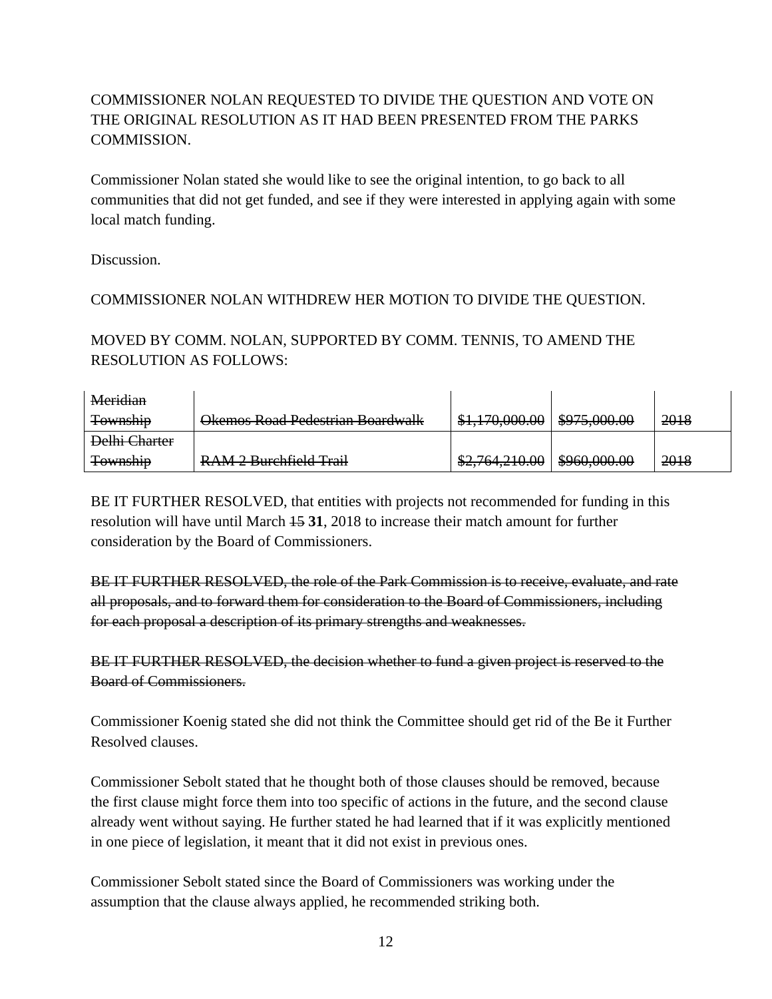# COMMISSIONER NOLAN REQUESTED TO DIVIDE THE QUESTION AND VOTE ON THE ORIGINAL RESOLUTION AS IT HAD BEEN PRESENTED FROM THE PARKS COMMISSION.

Commissioner Nolan stated she would like to see the original intention, to go back to all communities that did not get funded, and see if they were interested in applying again with some local match funding.

Discussion.

# COMMISSIONER NOLAN WITHDREW HER MOTION TO DIVIDE THE QUESTION.

MOVED BY COMM. NOLAN, SUPPORTED BY COMM. TENNIS, TO AMEND THE RESOLUTION AS FOLLOWS:

| Meridian        |                                                          |                                               |                                         |      |
|-----------------|----------------------------------------------------------|-----------------------------------------------|-----------------------------------------|------|
| <b>Township</b> | Okemos Road Pedestrian Boardwalk                         | <u>170.000.00</u><br><del>51,170,000.00</del> | 0.750000<br><del>www.crea</del>         | 2018 |
| Delhi Charter   |                                                          |                                               |                                         |      |
| <b>Township</b> | DAM2 Rurchfield Trail<br><del>KAMZ DUICIIICIU Hall</del> | \$27.764.210.00                               | $\cos \alpha$ and an<br><del>᠊ᡂᡂᡂ</del> | 2018 |

BE IT FURTHER RESOLVED, that entities with projects not recommended for funding in this resolution will have until March 15 **31**, 2018 to increase their match amount for further consideration by the Board of Commissioners.

BE IT FURTHER RESOLVED, the role of the Park Commission is to receive, evaluate, and rate all proposals, and to forward them for consideration to the Board of Commissioners, including for each proposal a description of its primary strengths and weaknesses.

BE IT FURTHER RESOLVED, the decision whether to fund a given project is reserved to the Board of Commissioners.

Commissioner Koenig stated she did not think the Committee should get rid of the Be it Further Resolved clauses.

Commissioner Sebolt stated that he thought both of those clauses should be removed, because the first clause might force them into too specific of actions in the future, and the second clause already went without saying. He further stated he had learned that if it was explicitly mentioned in one piece of legislation, it meant that it did not exist in previous ones.

Commissioner Sebolt stated since the Board of Commissioners was working under the assumption that the clause always applied, he recommended striking both.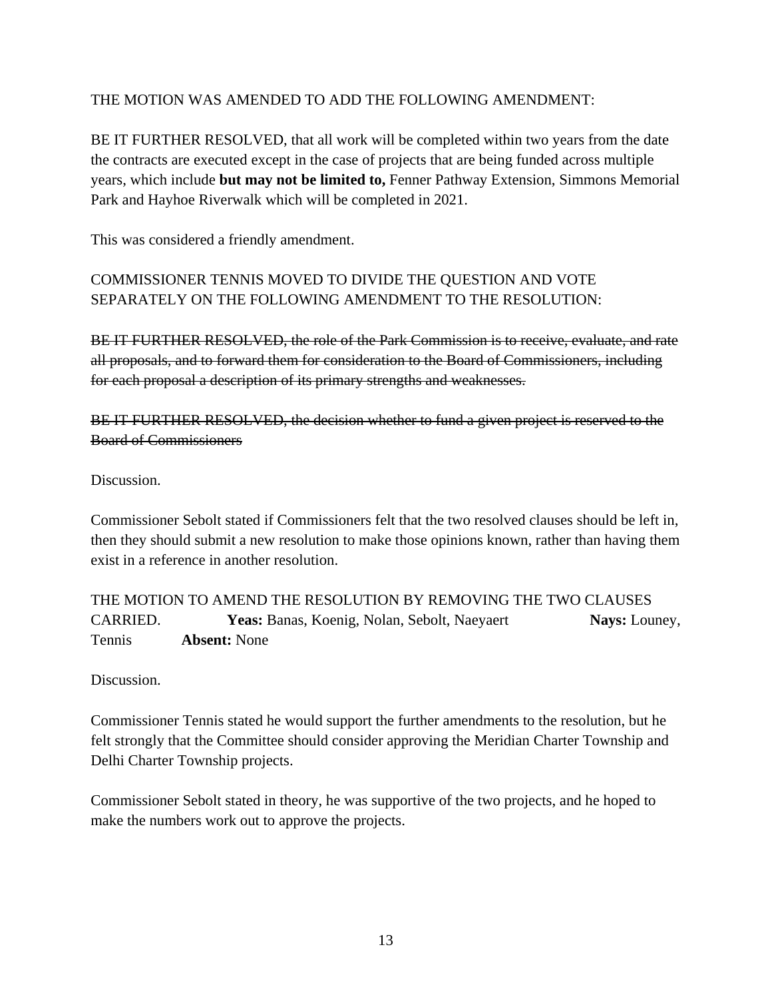# THE MOTION WAS AMENDED TO ADD THE FOLLOWING AMENDMENT:

BE IT FURTHER RESOLVED, that all work will be completed within two years from the date the contracts are executed except in the case of projects that are being funded across multiple years, which include **but may not be limited to,** Fenner Pathway Extension, Simmons Memorial Park and Hayhoe Riverwalk which will be completed in 2021.

This was considered a friendly amendment.

# COMMISSIONER TENNIS MOVED TO DIVIDE THE QUESTION AND VOTE SEPARATELY ON THE FOLLOWING AMENDMENT TO THE RESOLUTION:

BE IT FURTHER RESOLVED, the role of the Park Commission is to receive, evaluate, and rate all proposals, and to forward them for consideration to the Board of Commissioners, including for each proposal a description of its primary strengths and weaknesses.

BE IT FURTHER RESOLVED, the decision whether to fund a given project is reserved to the Board of Commissioners

Discussion.

Commissioner Sebolt stated if Commissioners felt that the two resolved clauses should be left in, then they should submit a new resolution to make those opinions known, rather than having them exist in a reference in another resolution.

THE MOTION TO AMEND THE RESOLUTION BY REMOVING THE TWO CLAUSES CARRIED. **Yeas:** Banas, Koenig, Nolan, Sebolt, Naeyaert **Nays:** Louney, Tennis **Absent:** None

Discussion.

Commissioner Tennis stated he would support the further amendments to the resolution, but he felt strongly that the Committee should consider approving the Meridian Charter Township and Delhi Charter Township projects.

Commissioner Sebolt stated in theory, he was supportive of the two projects, and he hoped to make the numbers work out to approve the projects.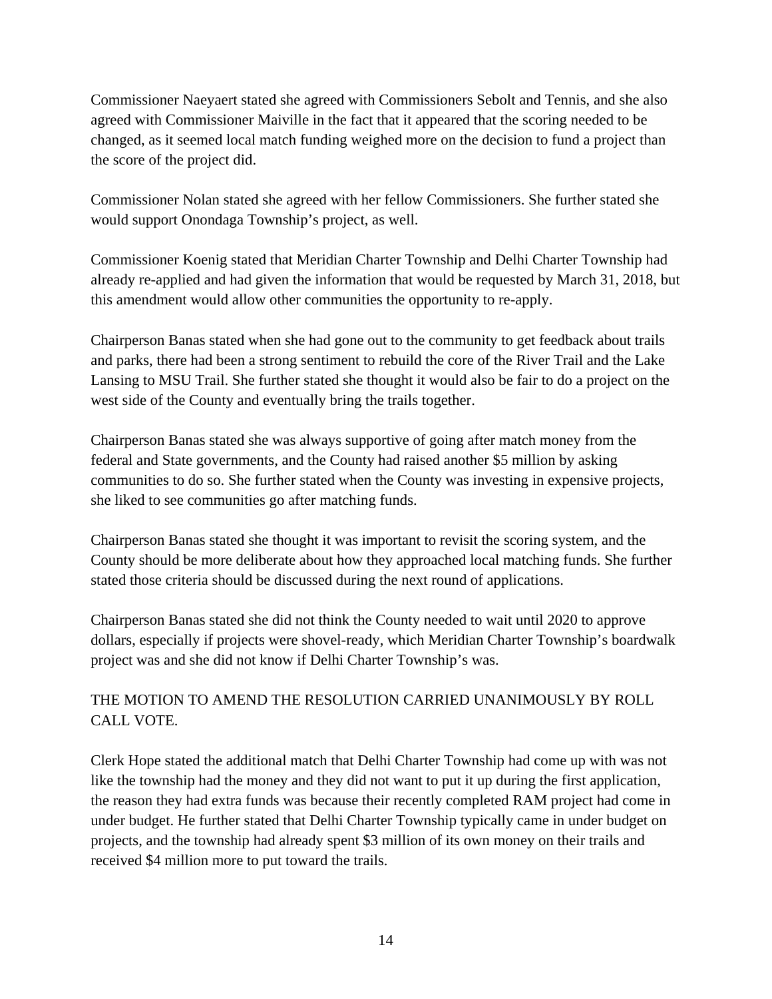Commissioner Naeyaert stated she agreed with Commissioners Sebolt and Tennis, and she also agreed with Commissioner Maiville in the fact that it appeared that the scoring needed to be changed, as it seemed local match funding weighed more on the decision to fund a project than the score of the project did.

Commissioner Nolan stated she agreed with her fellow Commissioners. She further stated she would support Onondaga Township's project, as well.

Commissioner Koenig stated that Meridian Charter Township and Delhi Charter Township had already re-applied and had given the information that would be requested by March 31, 2018, but this amendment would allow other communities the opportunity to re-apply.

Chairperson Banas stated when she had gone out to the community to get feedback about trails and parks, there had been a strong sentiment to rebuild the core of the River Trail and the Lake Lansing to MSU Trail. She further stated she thought it would also be fair to do a project on the west side of the County and eventually bring the trails together.

Chairperson Banas stated she was always supportive of going after match money from the federal and State governments, and the County had raised another \$5 million by asking communities to do so. She further stated when the County was investing in expensive projects, she liked to see communities go after matching funds.

Chairperson Banas stated she thought it was important to revisit the scoring system, and the County should be more deliberate about how they approached local matching funds. She further stated those criteria should be discussed during the next round of applications.

Chairperson Banas stated she did not think the County needed to wait until 2020 to approve dollars, especially if projects were shovel-ready, which Meridian Charter Township's boardwalk project was and she did not know if Delhi Charter Township's was.

# THE MOTION TO AMEND THE RESOLUTION CARRIED UNANIMOUSLY BY ROLL CALL VOTE.

Clerk Hope stated the additional match that Delhi Charter Township had come up with was not like the township had the money and they did not want to put it up during the first application, the reason they had extra funds was because their recently completed RAM project had come in under budget. He further stated that Delhi Charter Township typically came in under budget on projects, and the township had already spent \$3 million of its own money on their trails and received \$4 million more to put toward the trails.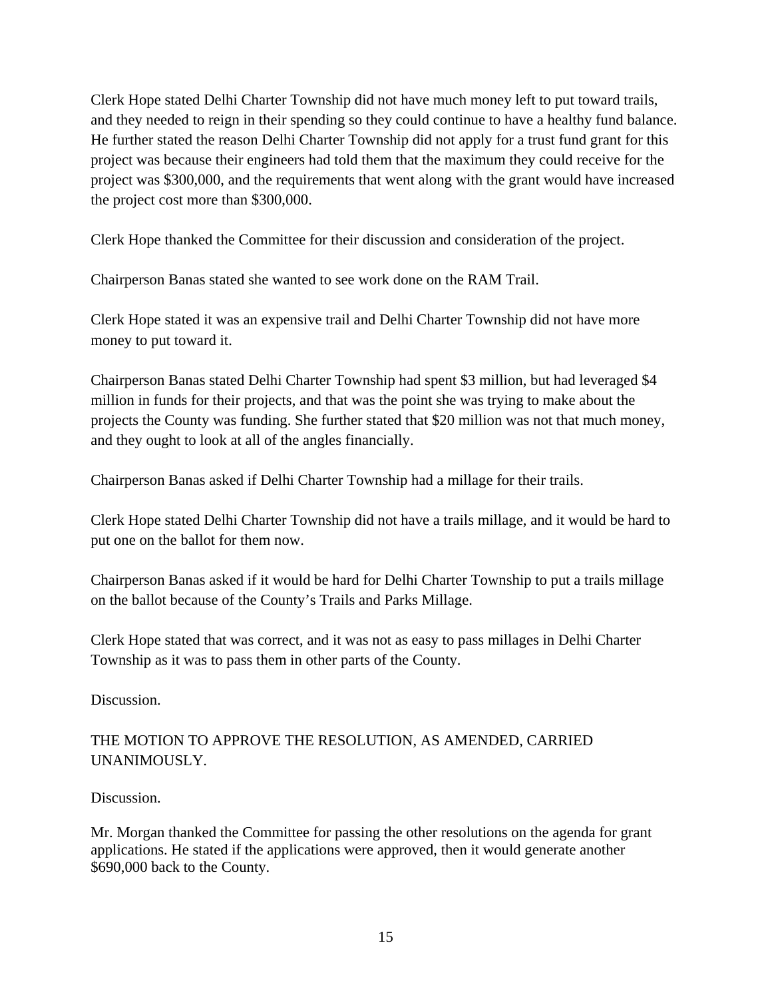Clerk Hope stated Delhi Charter Township did not have much money left to put toward trails, and they needed to reign in their spending so they could continue to have a healthy fund balance. He further stated the reason Delhi Charter Township did not apply for a trust fund grant for this project was because their engineers had told them that the maximum they could receive for the project was \$300,000, and the requirements that went along with the grant would have increased the project cost more than \$300,000.

Clerk Hope thanked the Committee for their discussion and consideration of the project.

Chairperson Banas stated she wanted to see work done on the RAM Trail.

Clerk Hope stated it was an expensive trail and Delhi Charter Township did not have more money to put toward it.

Chairperson Banas stated Delhi Charter Township had spent \$3 million, but had leveraged \$4 million in funds for their projects, and that was the point she was trying to make about the projects the County was funding. She further stated that \$20 million was not that much money, and they ought to look at all of the angles financially.

Chairperson Banas asked if Delhi Charter Township had a millage for their trails.

Clerk Hope stated Delhi Charter Township did not have a trails millage, and it would be hard to put one on the ballot for them now.

Chairperson Banas asked if it would be hard for Delhi Charter Township to put a trails millage on the ballot because of the County's Trails and Parks Millage.

Clerk Hope stated that was correct, and it was not as easy to pass millages in Delhi Charter Township as it was to pass them in other parts of the County.

Discussion.

# THE MOTION TO APPROVE THE RESOLUTION, AS AMENDED, CARRIED UNANIMOUSLY.

### Discussion.

Mr. Morgan thanked the Committee for passing the other resolutions on the agenda for grant applications. He stated if the applications were approved, then it would generate another \$690,000 back to the County.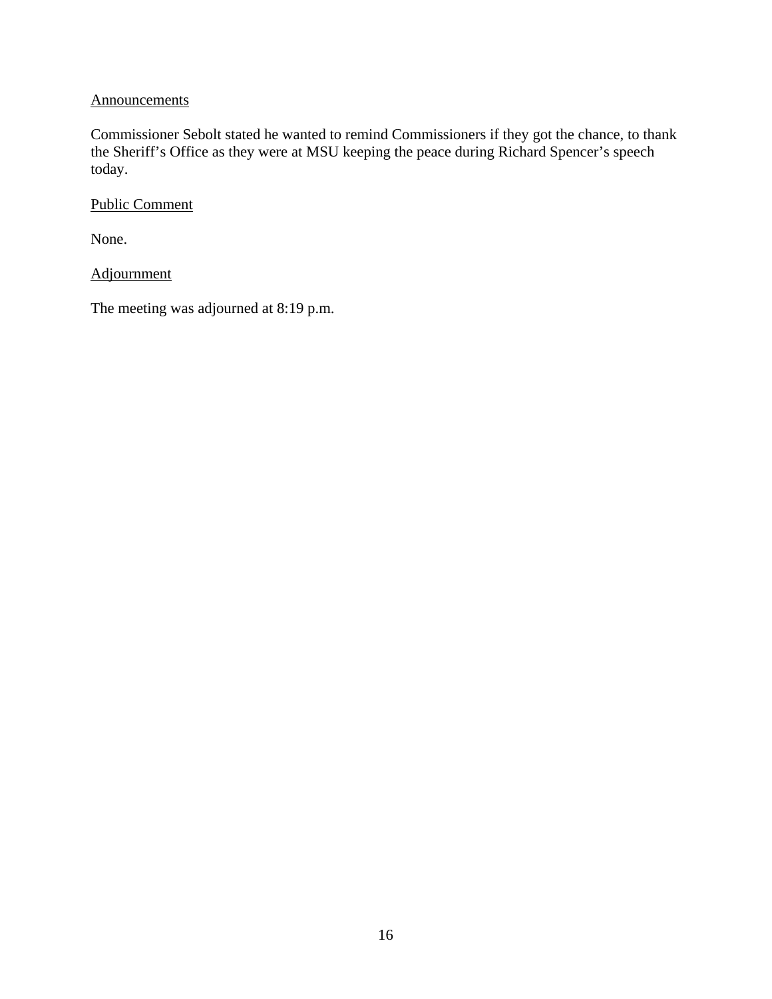### **Announcements**

Commissioner Sebolt stated he wanted to remind Commissioners if they got the chance, to thank the Sheriff's Office as they were at MSU keeping the peace during Richard Spencer's speech today.

Public Comment

None.

Adjournment

The meeting was adjourned at 8:19 p.m.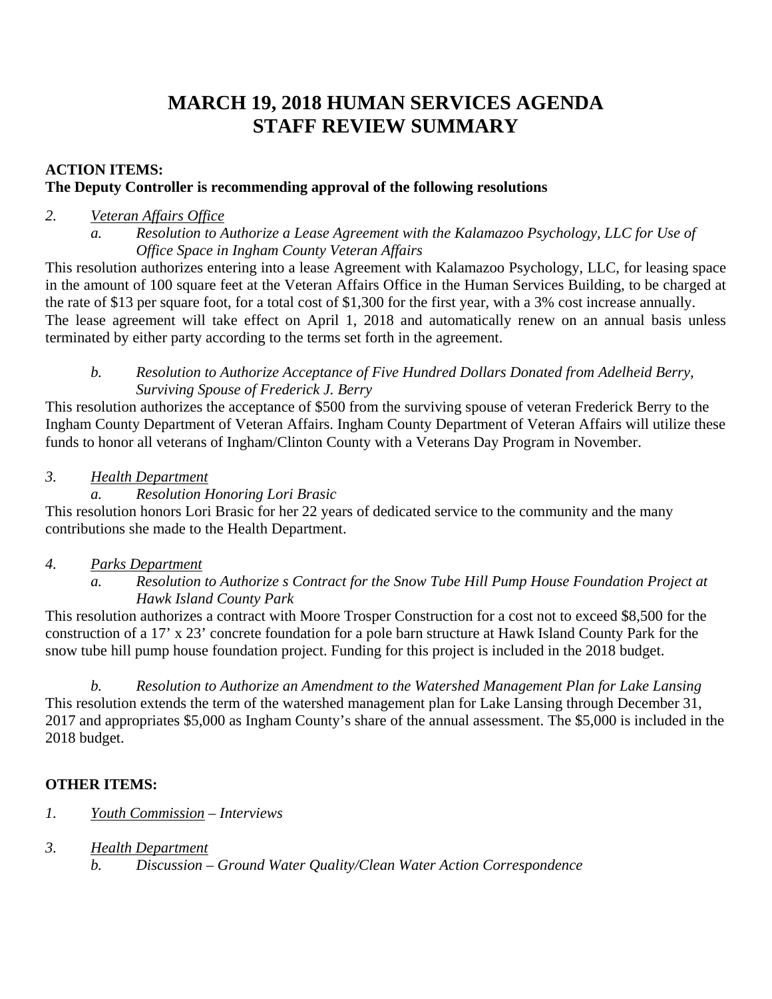# **MARCH 19, 2018 HUMAN SERVICES AGENDA STAFF REVIEW SUMMARY**

# **ACTION ITEMS: The Deputy Controller is recommending approval of the following resolutions**

### *2. Veteran Affairs Office*

*a. Resolution to Authorize a Lease Agreement with the Kalamazoo Psychology, LLC for Use of Office Space in Ingham County Veteran Affairs* 

This resolution authorizes entering into a lease Agreement with Kalamazoo Psychology, LLC, for leasing space in the amount of 100 square feet at the Veteran Affairs Office in the Human Services Building, to be charged at the rate of \$13 per square foot, for a total cost of \$1,300 for the first year, with a 3% cost increase annually. The lease agreement will take effect on April 1, 2018 and automatically renew on an annual basis unless terminated by either party according to the terms set forth in the agreement.

### *b. Resolution to Authorize Acceptance of Five Hundred Dollars Donated from Adelheid Berry, Surviving Spouse of Frederick J. Berry*

This resolution authorizes the acceptance of \$500 from the surviving spouse of veteran Frederick Berry to the Ingham County Department of Veteran Affairs. Ingham County Department of Veteran Affairs will utilize these funds to honor all veterans of Ingham/Clinton County with a Veterans Day Program in November.

### *3. Health Department*

### *a. Resolution Honoring Lori Brasic*

This resolution honors Lori Brasic for her 22 years of dedicated service to the community and the many contributions she made to the Health Department.

# *4. Parks Department*

*a. Resolution to Authorize s Contract for the Snow Tube Hill Pump House Foundation Project at Hawk Island County Park* 

This resolution authorizes a contract with Moore Trosper Construction for a cost not to exceed \$8,500 for the construction of a 17' x 23' concrete foundation for a pole barn structure at Hawk Island County Park for the snow tube hill pump house foundation project. Funding for this project is included in the 2018 budget.

*b. Resolution to Authorize an Amendment to the Watershed Management Plan for Lake Lansing*  This resolution extends the term of the watershed management plan for Lake Lansing through December 31, 2017 and appropriates \$5,000 as Ingham County's share of the annual assessment. The \$5,000 is included in the 2018 budget.

# **OTHER ITEMS:**

# *1. Youth Commission – Interviews*

*3. Health Department* 

*b. Discussion – Ground Water Quality/Clean Water Action Correspondence*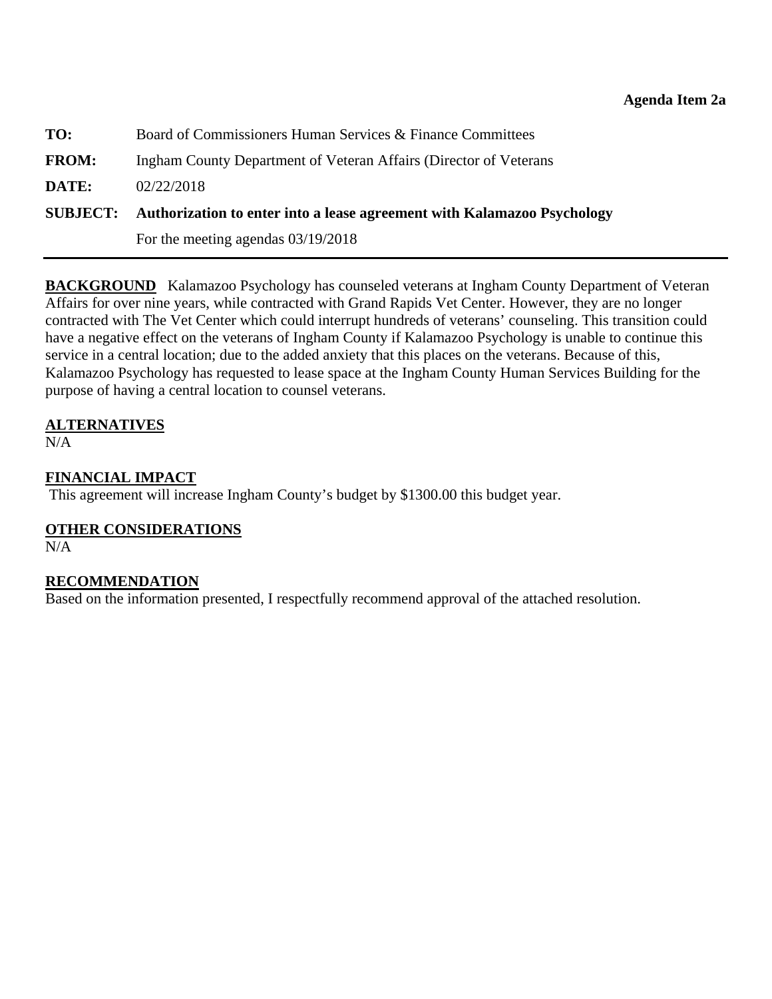<span id="page-18-0"></span>

| TO:          | Board of Commissioners Human Services & Finance Committees                              |
|--------------|-----------------------------------------------------------------------------------------|
| <b>FROM:</b> | Ingham County Department of Veteran Affairs (Director of Veterans                       |
| DATE:        | 02/22/2018                                                                              |
|              | <b>SUBJECT:</b> Authorization to enter into a lease agreement with Kalamazoo Psychology |
|              | For the meeting agendas $03/19/2018$                                                    |

**BACKGROUND** Kalamazoo Psychology has counseled veterans at Ingham County Department of Veteran Affairs for over nine years, while contracted with Grand Rapids Vet Center. However, they are no longer contracted with The Vet Center which could interrupt hundreds of veterans' counseling. This transition could have a negative effect on the veterans of Ingham County if Kalamazoo Psychology is unable to continue this service in a central location; due to the added anxiety that this places on the veterans. Because of this, Kalamazoo Psychology has requested to lease space at the Ingham County Human Services Building for the purpose of having a central location to counsel veterans.

# **ALTERNATIVES**

N/A

### **FINANCIAL IMPACT**

This agreement will increase Ingham County's budget by \$1300.00 this budget year.

# **OTHER CONSIDERATIONS**

N/A

### **RECOMMENDATION**

Based on the information presented, I respectfully recommend approval of the attached resolution.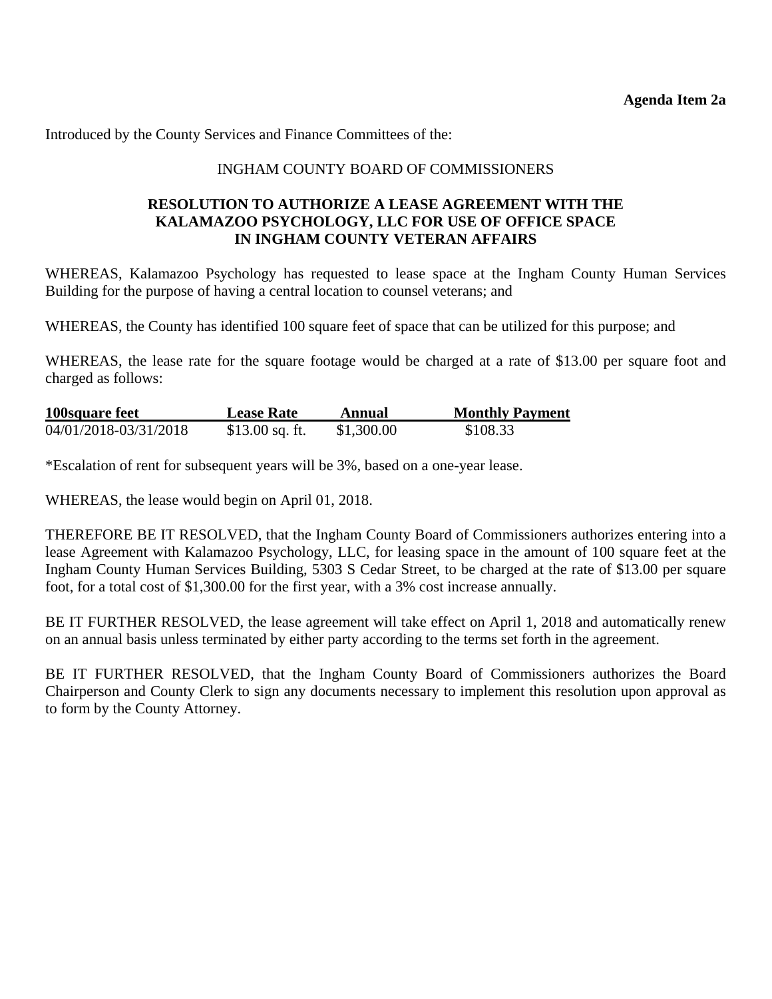Introduced by the County Services and Finance Committees of the:

### INGHAM COUNTY BOARD OF COMMISSIONERS

### **RESOLUTION TO AUTHORIZE A LEASE AGREEMENT WITH THE KALAMAZOO PSYCHOLOGY, LLC FOR USE OF OFFICE SPACE IN INGHAM COUNTY VETERAN AFFAIRS**

WHEREAS, Kalamazoo Psychology has requested to lease space at the Ingham County Human Services Building for the purpose of having a central location to counsel veterans; and

WHEREAS, the County has identified 100 square feet of space that can be utilized for this purpose; and

WHEREAS, the lease rate for the square footage would be charged at a rate of \$13.00 per square foot and charged as follows:

| 100square feet        | <b>Lease Rate</b> | Annual     | <b>Monthly Payment</b> |
|-----------------------|-------------------|------------|------------------------|
| 04/01/2018-03/31/2018 | $$13.00$ sq. ft.  | \$1,300.00 | \$108.33               |

\*Escalation of rent for subsequent years will be 3%, based on a one-year lease.

WHEREAS, the lease would begin on April 01, 2018.

THEREFORE BE IT RESOLVED, that the Ingham County Board of Commissioners authorizes entering into a lease Agreement with Kalamazoo Psychology, LLC, for leasing space in the amount of 100 square feet at the Ingham County Human Services Building, 5303 S Cedar Street, to be charged at the rate of \$13.00 per square foot, for a total cost of \$1,300.00 for the first year, with a 3% cost increase annually.

BE IT FURTHER RESOLVED, the lease agreement will take effect on April 1, 2018 and automatically renew on an annual basis unless terminated by either party according to the terms set forth in the agreement.

BE IT FURTHER RESOLVED, that the Ingham County Board of Commissioners authorizes the Board Chairperson and County Clerk to sign any documents necessary to implement this resolution upon approval as to form by the County Attorney.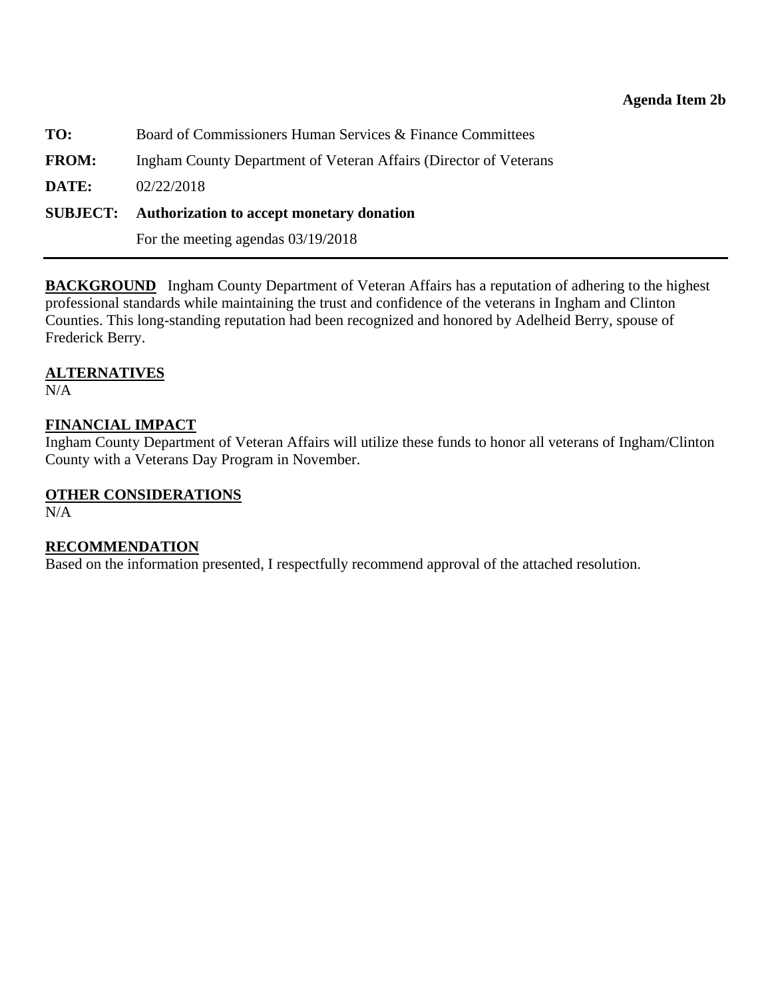<span id="page-20-0"></span>**TO:** Board of Commissioners Human Services & Finance Committees **FROM:** Ingham County Department of Veteran Affairs (Director of Veterans **DATE:** 02/22/2018 **SUBJECT: Authorization to accept monetary donation**

For the meeting agendas 03/19/2018

**BACKGROUND** Ingham County Department of Veteran Affairs has a reputation of adhering to the highest professional standards while maintaining the trust and confidence of the veterans in Ingham and Clinton Counties. This long-standing reputation had been recognized and honored by Adelheid Berry, spouse of Frederick Berry.

### **ALTERNATIVES**

N/A

### **FINANCIAL IMPACT**

Ingham County Department of Veteran Affairs will utilize these funds to honor all veterans of Ingham/Clinton County with a Veterans Day Program in November.

### **OTHER CONSIDERATIONS**

N/A

#### **RECOMMENDATION**

Based on the information presented, I respectfully recommend approval of the attached resolution.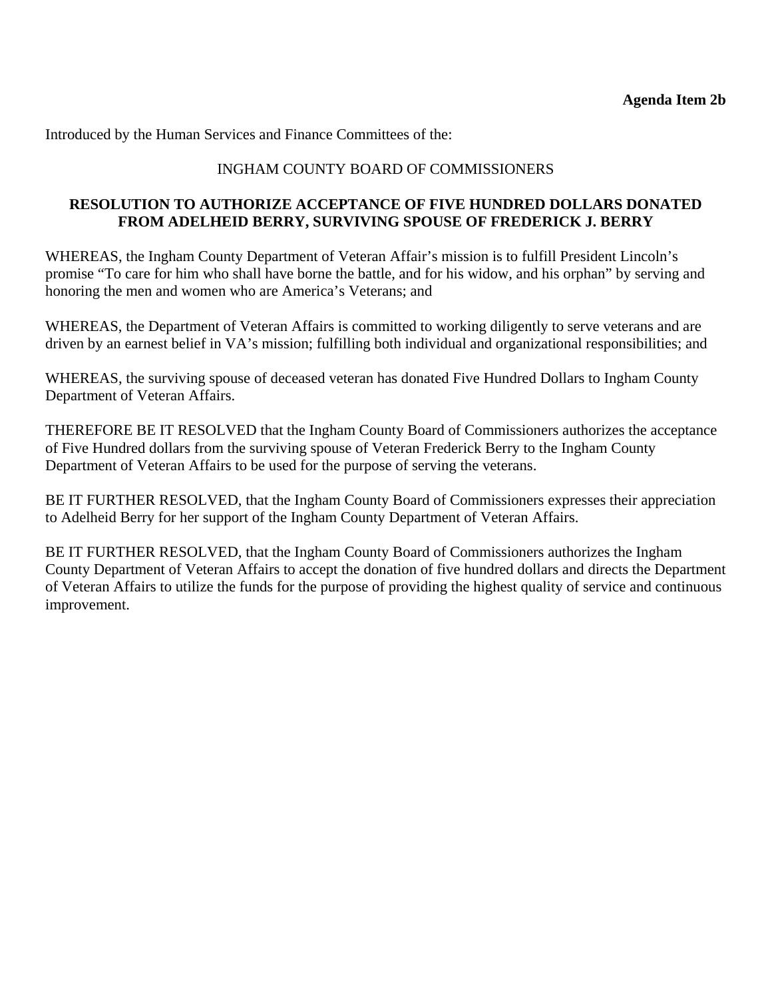Introduced by the Human Services and Finance Committees of the:

### INGHAM COUNTY BOARD OF COMMISSIONERS

### **RESOLUTION TO AUTHORIZE ACCEPTANCE OF FIVE HUNDRED DOLLARS DONATED FROM ADELHEID BERRY, SURVIVING SPOUSE OF FREDERICK J. BERRY**

WHEREAS, the Ingham County Department of Veteran Affair's mission is to fulfill President Lincoln's promise "To care for him who shall have borne the battle, and for his widow, and his orphan" by serving and honoring the men and women who are America's Veterans; and

WHEREAS, the Department of Veteran Affairs is committed to working diligently to serve veterans and are driven by an earnest belief in VA's mission; fulfilling both individual and organizational responsibilities; and

WHEREAS, the surviving spouse of deceased veteran has donated Five Hundred Dollars to Ingham County Department of Veteran Affairs.

THEREFORE BE IT RESOLVED that the Ingham County Board of Commissioners authorizes the acceptance of Five Hundred dollars from the surviving spouse of Veteran Frederick Berry to the Ingham County Department of Veteran Affairs to be used for the purpose of serving the veterans.

BE IT FURTHER RESOLVED, that the Ingham County Board of Commissioners expresses their appreciation to Adelheid Berry for her support of the Ingham County Department of Veteran Affairs.

BE IT FURTHER RESOLVED, that the Ingham County Board of Commissioners authorizes the Ingham County Department of Veteran Affairs to accept the donation of five hundred dollars and directs the Department of Veteran Affairs to utilize the funds for the purpose of providing the highest quality of service and continuous improvement.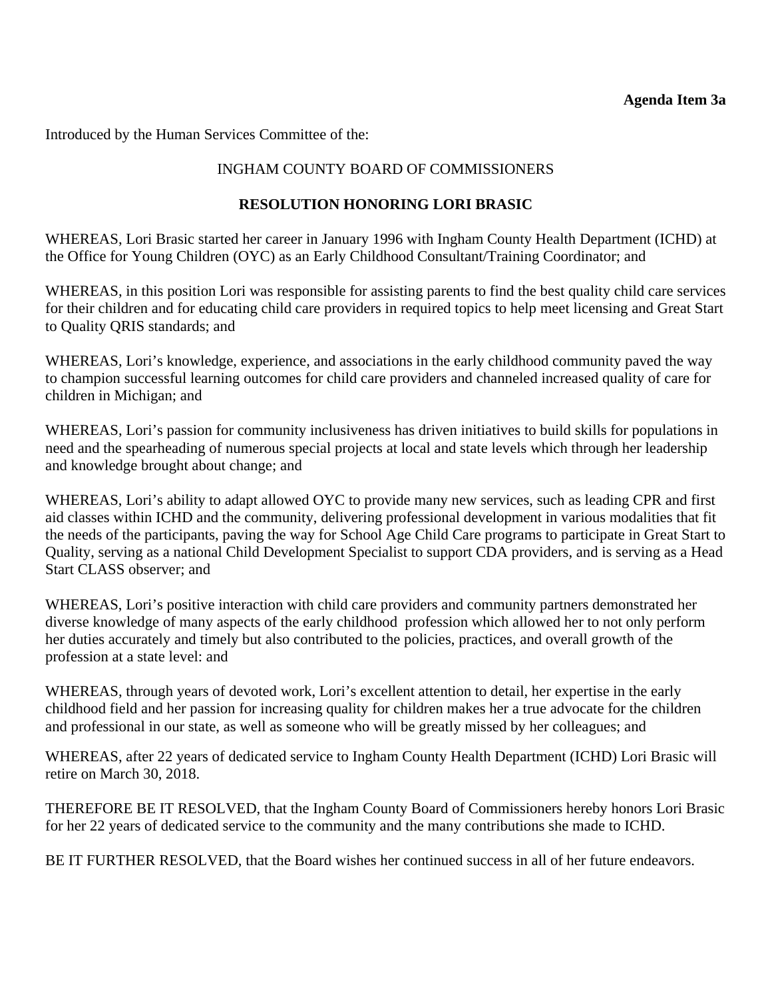<span id="page-22-0"></span>Introduced by the Human Services Committee of the:

# INGHAM COUNTY BOARD OF COMMISSIONERS

### **RESOLUTION HONORING LORI BRASIC**

WHEREAS, Lori Brasic started her career in January 1996 with Ingham County Health Department (ICHD) at the Office for Young Children (OYC) as an Early Childhood Consultant/Training Coordinator; and

WHEREAS, in this position Lori was responsible for assisting parents to find the best quality child care services for their children and for educating child care providers in required topics to help meet licensing and Great Start to Quality QRIS standards; and

WHEREAS, Lori's knowledge, experience, and associations in the early childhood community paved the way to champion successful learning outcomes for child care providers and channeled increased quality of care for children in Michigan; and

WHEREAS, Lori's passion for community inclusiveness has driven initiatives to build skills for populations in need and the spearheading of numerous special projects at local and state levels which through her leadership and knowledge brought about change; and

WHEREAS, Lori's ability to adapt allowed OYC to provide many new services, such as leading CPR and first aid classes within ICHD and the community, delivering professional development in various modalities that fit the needs of the participants, paving the way for School Age Child Care programs to participate in Great Start to Quality, serving as a national Child Development Specialist to support CDA providers, and is serving as a Head Start CLASS observer; and

WHEREAS, Lori's positive interaction with child care providers and community partners demonstrated her diverse knowledge of many aspects of the early childhood profession which allowed her to not only perform her duties accurately and timely but also contributed to the policies, practices, and overall growth of the profession at a state level: and

WHEREAS, through years of devoted work, Lori's excellent attention to detail, her expertise in the early childhood field and her passion for increasing quality for children makes her a true advocate for the children and professional in our state, as well as someone who will be greatly missed by her colleagues; and

WHEREAS, after 22 years of dedicated service to Ingham County Health Department (ICHD) Lori Brasic will retire on March 30, 2018.

THEREFORE BE IT RESOLVED, that the Ingham County Board of Commissioners hereby honors Lori Brasic for her 22 years of dedicated service to the community and the many contributions she made to ICHD.

BE IT FURTHER RESOLVED, that the Board wishes her continued success in all of her future endeavors.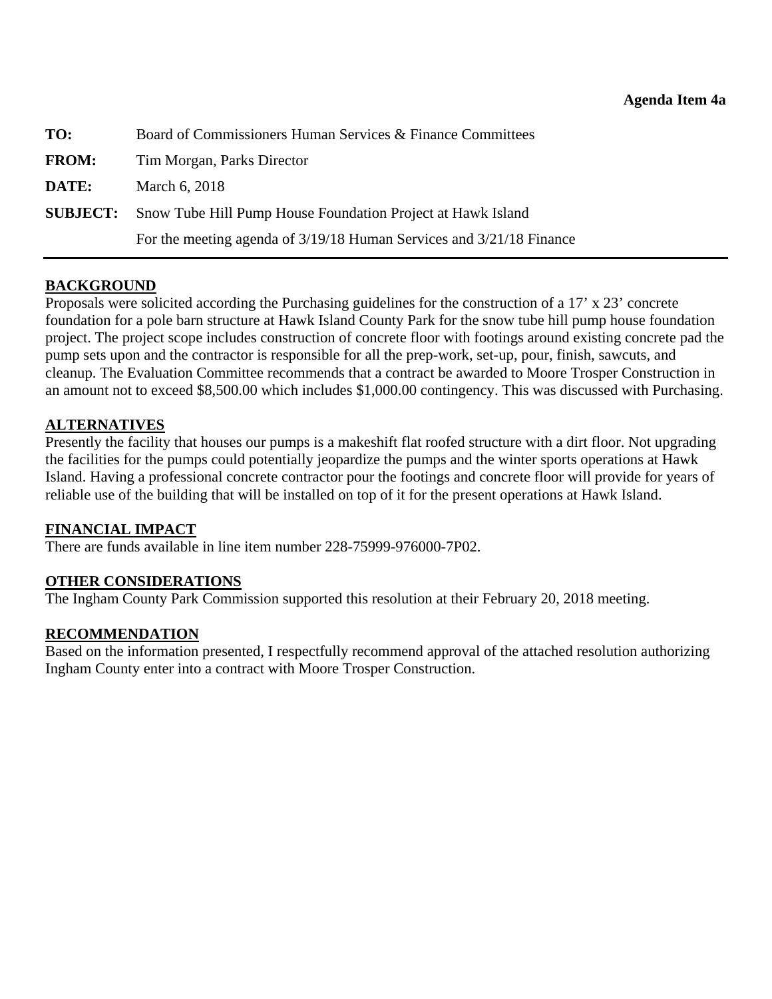<span id="page-23-0"></span>

| TO:          | Board of Commissioners Human Services & Finance Committees                  |
|--------------|-----------------------------------------------------------------------------|
| <b>FROM:</b> | Tim Morgan, Parks Director                                                  |
| DATE:        | March 6, 2018                                                               |
|              | <b>SUBJECT:</b> Snow Tube Hill Pump House Foundation Project at Hawk Island |
|              | For the meeting agenda of 3/19/18 Human Services and 3/21/18 Finance        |

### **BACKGROUND**

Proposals were solicited according the Purchasing guidelines for the construction of a 17' x 23' concrete foundation for a pole barn structure at Hawk Island County Park for the snow tube hill pump house foundation project. The project scope includes construction of concrete floor with footings around existing concrete pad the pump sets upon and the contractor is responsible for all the prep-work, set-up, pour, finish, sawcuts, and cleanup. The Evaluation Committee recommends that a contract be awarded to Moore Trosper Construction in an amount not to exceed \$8,500.00 which includes \$1,000.00 contingency. This was discussed with Purchasing.

### **ALTERNATIVES**

Presently the facility that houses our pumps is a makeshift flat roofed structure with a dirt floor. Not upgrading the facilities for the pumps could potentially jeopardize the pumps and the winter sports operations at Hawk Island. Having a professional concrete contractor pour the footings and concrete floor will provide for years of reliable use of the building that will be installed on top of it for the present operations at Hawk Island.

### **FINANCIAL IMPACT**

There are funds available in line item number 228-75999-976000-7P02.

### **OTHER CONSIDERATIONS**

The Ingham County Park Commission supported this resolution at their February 20, 2018 meeting.

### **RECOMMENDATION**

Based on the information presented, I respectfully recommend approval of the attached resolution authorizing Ingham County enter into a contract with Moore Trosper Construction.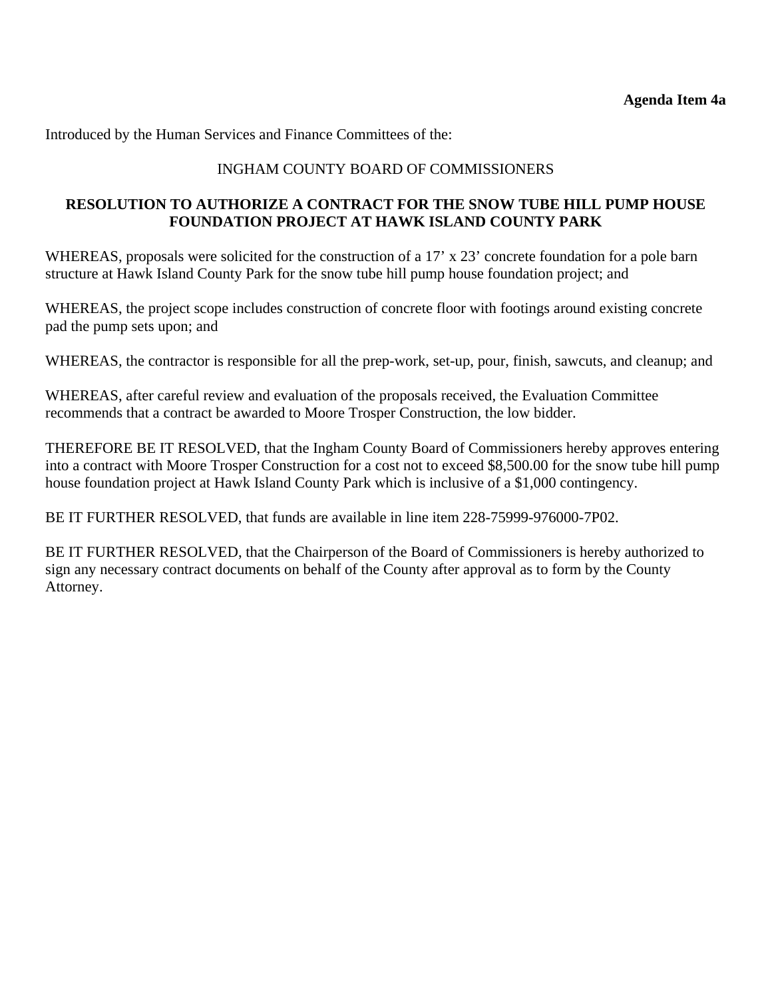Introduced by the Human Services and Finance Committees of the:

### INGHAM COUNTY BOARD OF COMMISSIONERS

### **RESOLUTION TO AUTHORIZE A CONTRACT FOR THE SNOW TUBE HILL PUMP HOUSE FOUNDATION PROJECT AT HAWK ISLAND COUNTY PARK**

WHEREAS, proposals were solicited for the construction of a 17' x 23' concrete foundation for a pole barn structure at Hawk Island County Park for the snow tube hill pump house foundation project; and

WHEREAS, the project scope includes construction of concrete floor with footings around existing concrete pad the pump sets upon; and

WHEREAS, the contractor is responsible for all the prep-work, set-up, pour, finish, sawcuts, and cleanup; and

WHEREAS, after careful review and evaluation of the proposals received, the Evaluation Committee recommends that a contract be awarded to Moore Trosper Construction, the low bidder.

THEREFORE BE IT RESOLVED, that the Ingham County Board of Commissioners hereby approves entering into a contract with Moore Trosper Construction for a cost not to exceed \$8,500.00 for the snow tube hill pump house foundation project at Hawk Island County Park which is inclusive of a \$1,000 contingency.

BE IT FURTHER RESOLVED, that funds are available in line item 228-75999-976000-7P02.

BE IT FURTHER RESOLVED, that the Chairperson of the Board of Commissioners is hereby authorized to sign any necessary contract documents on behalf of the County after approval as to form by the County Attorney.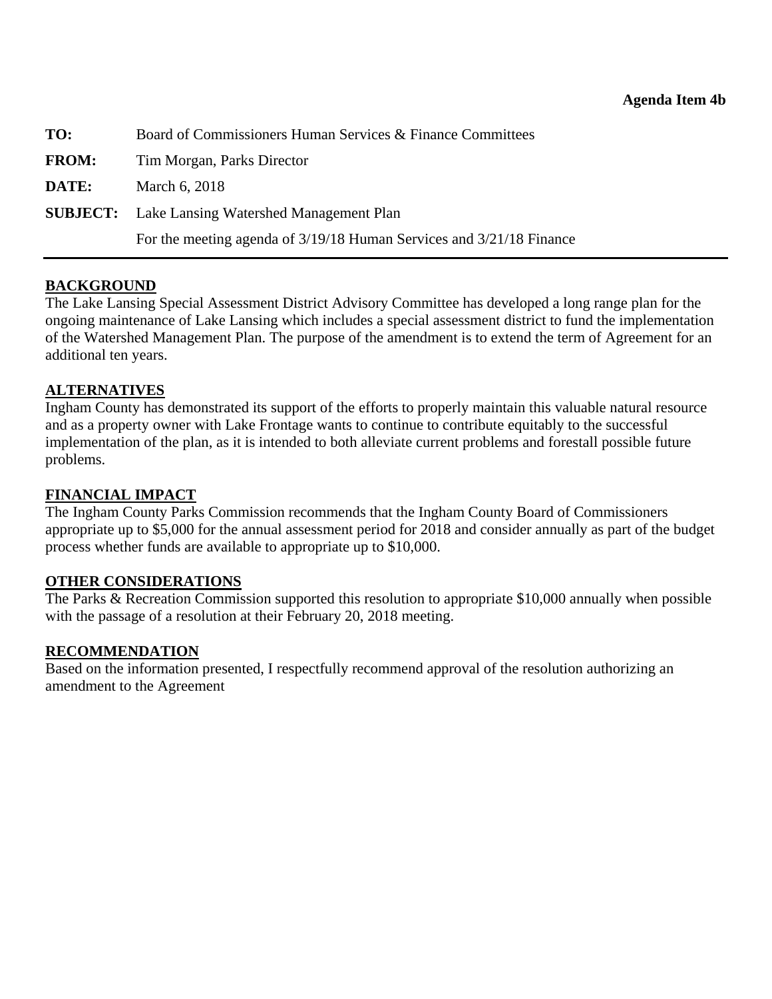<span id="page-25-0"></span>

| TO:          | Board of Commissioners Human Services & Finance Committees           |  |
|--------------|----------------------------------------------------------------------|--|
| <b>FROM:</b> | Tim Morgan, Parks Director                                           |  |
| DATE:        | March 6, 2018                                                        |  |
|              | <b>SUBJECT:</b> Lake Lansing Watershed Management Plan               |  |
|              | For the meeting agenda of 3/19/18 Human Services and 3/21/18 Finance |  |

### **BACKGROUND**

The Lake Lansing Special Assessment District Advisory Committee has developed a long range plan for the ongoing maintenance of Lake Lansing which includes a special assessment district to fund the implementation of the Watershed Management Plan. The purpose of the amendment is to extend the term of Agreement for an additional ten years.

### **ALTERNATIVES**

Ingham County has demonstrated its support of the efforts to properly maintain this valuable natural resource and as a property owner with Lake Frontage wants to continue to contribute equitably to the successful implementation of the plan, as it is intended to both alleviate current problems and forestall possible future problems.

### **FINANCIAL IMPACT**

The Ingham County Parks Commission recommends that the Ingham County Board of Commissioners appropriate up to \$5,000 for the annual assessment period for 2018 and consider annually as part of the budget process whether funds are available to appropriate up to \$10,000.

### **OTHER CONSIDERATIONS**

The Parks & Recreation Commission supported this resolution to appropriate \$10,000 annually when possible with the passage of a resolution at their February 20, 2018 meeting.

#### **RECOMMENDATION**

Based on the information presented, I respectfully recommend approval of the resolution authorizing an amendment to the Agreement